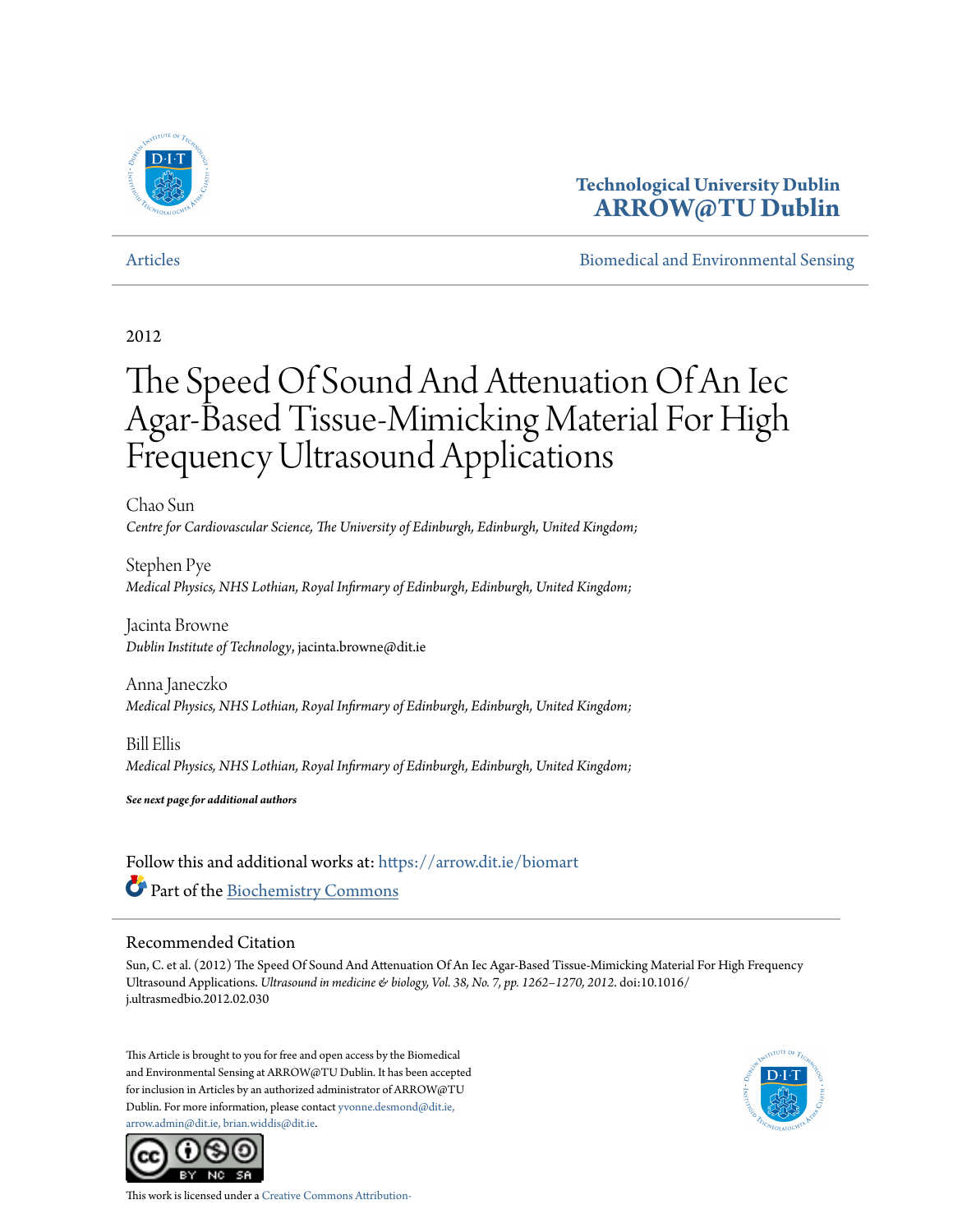

## **Technological University Dublin [ARROW@TU Dublin](https://arrow.dit.ie/?utm_source=arrow.dit.ie%2Fbiomart%2F13&utm_medium=PDF&utm_campaign=PDFCoverPages)**

[Articles](https://arrow.dit.ie/biomart?utm_source=arrow.dit.ie%2Fbiomart%2F13&utm_medium=PDF&utm_campaign=PDFCoverPages) [Biomedical and Environmental Sensing](https://arrow.dit.ie/biom?utm_source=arrow.dit.ie%2Fbiomart%2F13&utm_medium=PDF&utm_campaign=PDFCoverPages)

## 2012

# The Speed Of Sound And Attenuation Of An Iec Agar-Based Tissue-Mimicking Material For High Frequency Ultrasound Applications

Chao Sun *Centre for Cardiovascular Science, The University of Edinburgh, Edinburgh, United Kingdom;*

Stephen Pye *Medical Physics, NHS Lothian, Royal Infirmary of Edinburgh, Edinburgh, United Kingdom;*

Jacinta Browne *Dublin Institute of Technology*, jacinta.browne@dit.ie

Anna Janeczko *Medical Physics, NHS Lothian, Royal Infirmary of Edinburgh, Edinburgh, United Kingdom;*

Bill Ellis *Medical Physics, NHS Lothian, Royal Infirmary of Edinburgh, Edinburgh, United Kingdom;*

*See next page for additional authors*

Follow this and additional works at: [https://arrow.dit.ie/biomart](https://arrow.dit.ie/biomart?utm_source=arrow.dit.ie%2Fbiomart%2F13&utm_medium=PDF&utm_campaign=PDFCoverPages) Part of the [Biochemistry Commons](http://network.bepress.com/hgg/discipline/2?utm_source=arrow.dit.ie%2Fbiomart%2F13&utm_medium=PDF&utm_campaign=PDFCoverPages)

## Recommended Citation

Sun, C. et al. (2012) The Speed Of Sound And Attenuation Of An Iec Agar-Based Tissue-Mimicking Material For High Frequency Ultrasound Applications. *Ultrasound in medicine & biology, Vol. 38, No. 7, pp. 1262–1270, 2012*. doi:10.1016/ j.ultrasmedbio.2012.02.030

This Article is brought to you for free and open access by the Biomedical and Environmental Sensing at ARROW@TU Dublin. It has been accepted for inclusion in Articles by an authorized administrator of ARROW@TU Dublin. For more information, please contact [yvonne.desmond@dit.ie,](mailto:yvonne.desmond@dit.ie,%20arrow.admin@dit.ie,%20brian.widdis@dit.ie) [arrow.admin@dit.ie, brian.widdis@dit.ie](mailto:yvonne.desmond@dit.ie,%20arrow.admin@dit.ie,%20brian.widdis@dit.ie).





This work is licensed under a [Creative Commons Attribution-](http://creativecommons.org/licenses/by-nc-sa/3.0/)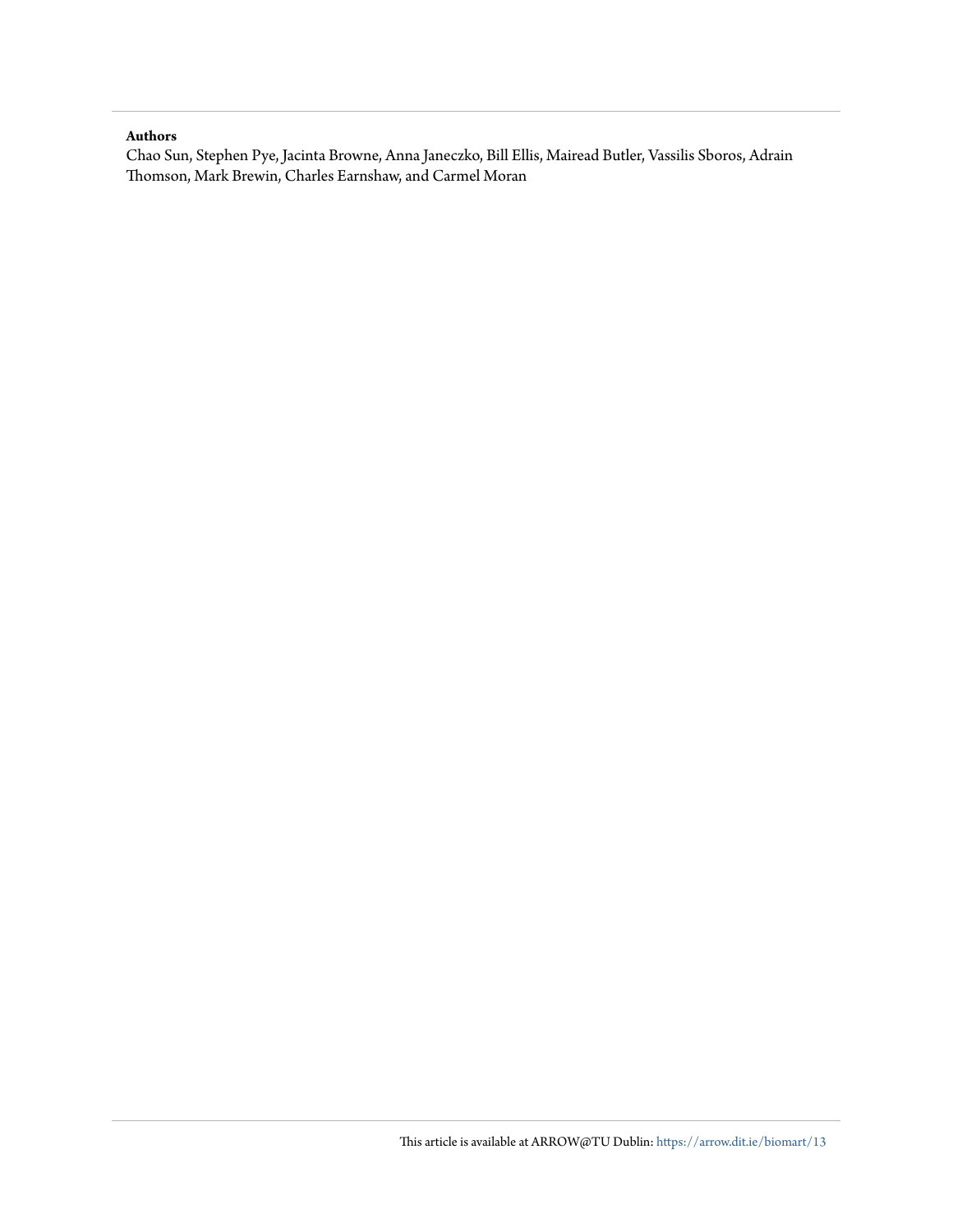#### **Authors**

Chao Sun, Stephen Pye, Jacinta Browne, Anna Janeczko, Bill Ellis, Mairead Butler, Vassilis Sboros, Adrain Thomson, Mark Brewin, Charles Earnshaw, and Carmel Moran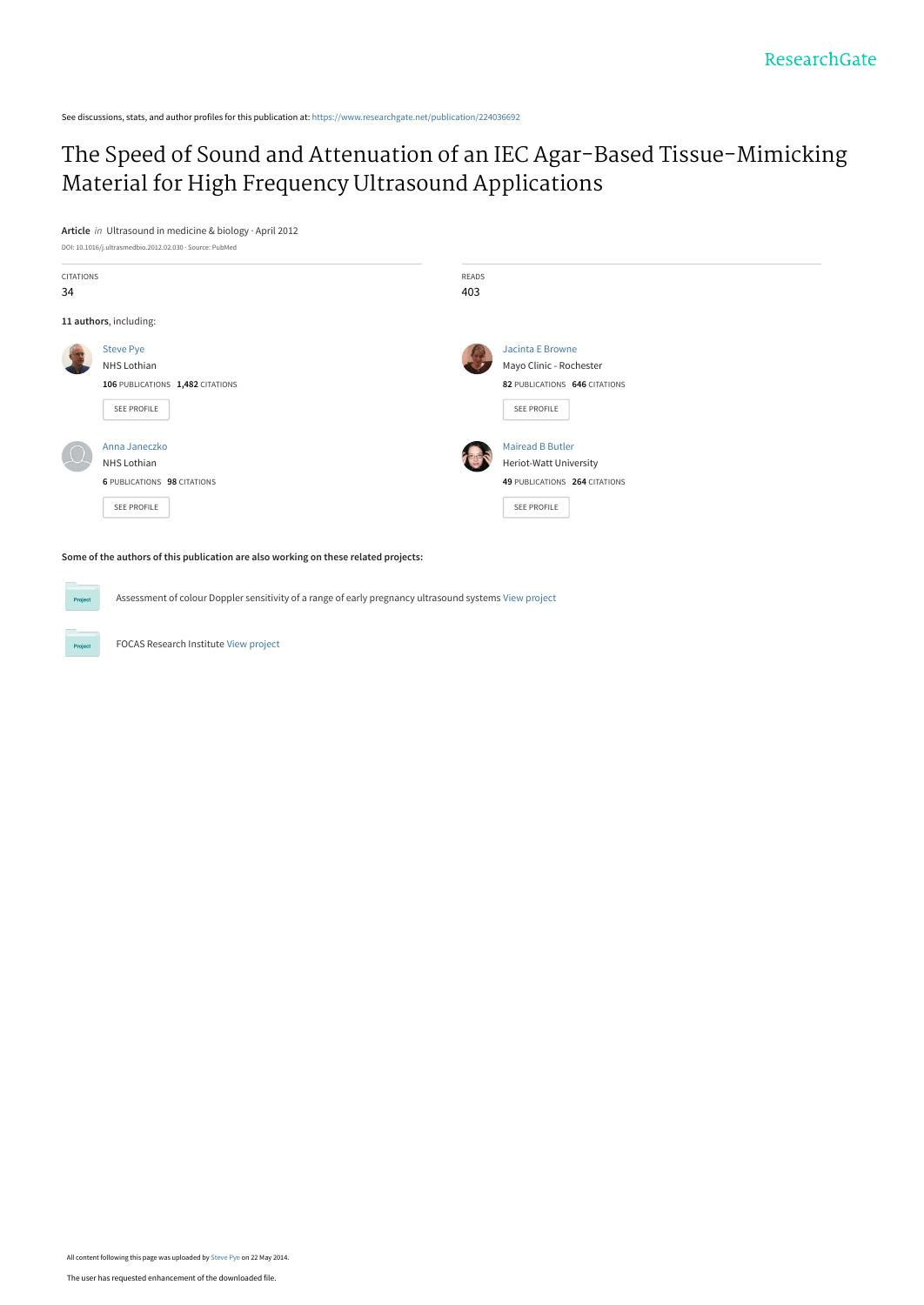See discussions, stats, and author profiles for this publication at: [https://www.researchgate.net/publication/224036692](https://www.researchgate.net/publication/224036692_The_Speed_of_Sound_and_Attenuation_of_an_IEC_Agar-Based_Tissue-Mimicking_Material_for_High_Frequency_Ultrasound_Applications?enrichId=rgreq-f4aa741f038934281ebcb937a947d725-XXX&enrichSource=Y292ZXJQYWdlOzIyNDAzNjY5MjtBUzo5OTcxOTg3OTU5NDAwNkAxNDAwNzg2NDgxMTQx&el=1_x_2&_esc=publicationCoverPdf)

# [The Speed of Sound and Attenuation of an IEC Agar-Based Tissue-Mimicking](https://www.researchgate.net/publication/224036692_The_Speed_of_Sound_and_Attenuation_of_an_IEC_Agar-Based_Tissue-Mimicking_Material_for_High_Frequency_Ultrasound_Applications?enrichId=rgreq-f4aa741f038934281ebcb937a947d725-XXX&enrichSource=Y292ZXJQYWdlOzIyNDAzNjY5MjtBUzo5OTcxOTg3OTU5NDAwNkAxNDAwNzg2NDgxMTQx&el=1_x_3&_esc=publicationCoverPdf) Material for High Frequency Ultrasound Applications

**Article** in Ultrasound in medicine & biology · April 2012



**Some of the authors of this publication are also working on these related projects:**

Assessment of colour Doppler sensitivity of a range of early pregnancy ultrasound systems [View project](https://www.researchgate.net/project/Assessment-of-colour-Doppler-sensitivity-of-a-range-of-early-pregnancy-ultrasound-systems?enrichId=rgreq-f4aa741f038934281ebcb937a947d725-XXX&enrichSource=Y292ZXJQYWdlOzIyNDAzNjY5MjtBUzo5OTcxOTg3OTU5NDAwNkAxNDAwNzg2NDgxMTQx&el=1_x_9&_esc=publicationCoverPdf)

FOCAS Research Institute [View project](https://www.researchgate.net/project/FOCAS-Research-Institute?enrichId=rgreq-f4aa741f038934281ebcb937a947d725-XXX&enrichSource=Y292ZXJQYWdlOzIyNDAzNjY5MjtBUzo5OTcxOTg3OTU5NDAwNkAxNDAwNzg2NDgxMTQx&el=1_x_9&_esc=publicationCoverPdf)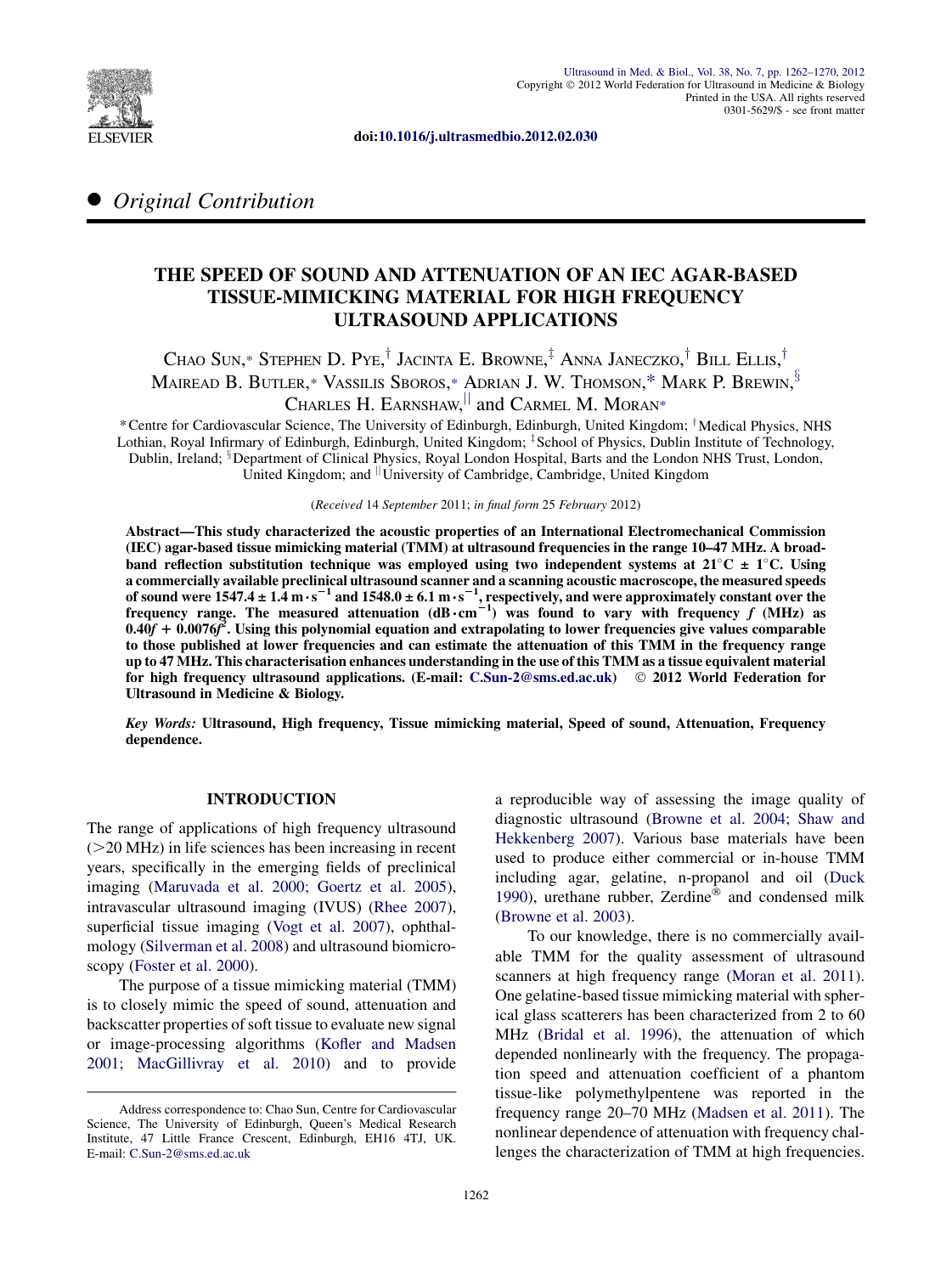

doi:[10.1016/j.ultrasmedbio.2012.02.030](http://dx.doi.org/10.1016/j.ultrasmedbio.2012.02.030)

## **Original Contribution**

## THE SPEED OF SOUND AND ATTENUATION OF AN IEC AGAR-BASED TISSUE-MIMICKING MATERIAL FOR HIGH FREQUENCY ULTRASOUND APPLICATIONS

Chao Sun,\* Stephen D. Pye, $^\dagger$  Jacinta E. Browne, $^\ddagger$  Anna Janeczko, $^\dagger$  Bill Ellis, $^\dagger$ Mairead B. Butler,\* Vassilis Sboros,\* Adrian J. W. Thomson,\* Mark P. Brewin, $^{\rm 3}$ Charles H. Earnshaw,  $\parallel$  and Carmel M. Moran\*

\*Centre for Cardiovascular Science, The University of Edinburgh, Edinburgh, United Kingdom; †Medical Physics, NHS Lothian, Royal Infirmary of Edinburgh, Edinburgh, United Kingdom; <sup>†</sup> School of Physics, Dublin Institute of Technology, Dublin, Ireland; <sup>8</sup> Department of Clinical Physics, Royal London Hospital, Barts and the London NHS Trust, London, United Kingdom; and  $\parallel$ University of Cambridge, Cambridge, United Kingdom

(Received 14 September 2011; in final form 25 February 2012)

Abstract—This study characterized the acoustic properties of an International Electromechanical Commission (IEC) agar-based tissue mimicking material (TMM) at ultrasound frequencies in the range 10–47 MHz. A broadband reflection substitution technique was employed using two independent systems at  $21^{\circ}C \pm 1^{\circ}C$ . Using a commercially available preclinical ultrasound scanner and a scanning acoustic macroscope, the measured speeds of sound were 1547.4 ± 1.4 m⋅s<sup>-1</sup> and 1548.0 ± 6.1 m⋅s<sup>-1</sup>, respectively, and were approximately constant over the<br>frequency range. The measured attenuation (dB⋅cm<sup>-1</sup>) was found to vary with frequency f (MHz) as  $0.40f + 0.0076f^2$ . Using this polynomial equation and extrapolating to lower frequencies give values comparable to those published at lower frequencies and can estimate the attenuation of this TMM in the frequency range up to 47 MHz. This characterisation enhances understanding in the use of this TMM as a tissue equivalent material for high frequency ultrasound applications. (E-mail: [C.Sun-2@sms.ed.ac.uk](mailto:C.Sun-2@sms.ed.ac.uk)) 2012 World Federation for Ultrasound in Medicine & Biology.

Key Words: Ultrasound, High frequency, Tissue mimicking material, Speed of sound, Attenuation, Frequency dependence.

#### INTRODUCTION

The range of applications of high frequency ultrasound  $(>=20$  MHz) in life sciences has been increasing in recent years, specifically in the emerging fields of preclinical imaging ([Maruvada et al. 2000; Goertz et al. 2005\)](#page-11-0), intravascular ultrasound imaging (IVUS) ([Rhee 2007\)](#page-11-0), superficial tissue imaging ([Vogt et al. 2007\)](#page-11-0), ophthalmology ([Silverman et al. 2008](#page-11-0)) and ultrasound biomicroscopy ([Foster et al. 2000](#page-11-0)).

The purpose of a tissue mimicking material (TMM) is to closely mimic the speed of sound, attenuation and backscatter properties of soft tissue to evaluate new signal or image-processing algorithms ([Kofler and Madsen](#page-11-0) [2001; MacGillivray et al. 2010\)](#page-11-0) and to provide a reproducible way of assessing the image quality of diagnostic ultrasound ([Browne et al. 2004; Shaw and](#page-11-0) [Hekkenberg 2007](#page-11-0)). Various base materials have been used to produce either commercial or in-house TMM including agar, gelatine, n-propanol and oil ([Duck](#page-11-0) [1990](#page-11-0)), urethane rubber, Zerdine $^{\circledR}$  and condensed milk ([Browne et al. 2003\)](#page-11-0).

To our knowledge, there is no commercially available TMM for the quality assessment of ultrasound scanners at high frequency range ([Moran et al. 2011\)](#page-11-0). One gelatine-based tissue mimicking material with spherical glass scatterers has been characterized from 2 to 60 MHz ([Bridal et al. 1996](#page-11-0)), the attenuation of which depended nonlinearly with the frequency. The propagation speed and attenuation coefficient of a phantom tissue-like polymethylpentene was reported in the frequency range 20–70 MHz [\(Madsen et al. 2011\)](#page-11-0). The nonlinear dependence of attenuation with frequency challenges the characterization of TMM at high frequencies.

Address correspondence to: Chao Sun, Centre for Cardiovascular Science, The University of Edinburgh, Queen's Medical Research Institute, 47 Little France Crescent, Edinburgh, EH16 4TJ, UK. E-mail: [C.Sun-2@sms.ed.ac.uk](mailto:C.Sun-2@sms.ed.ac.uk)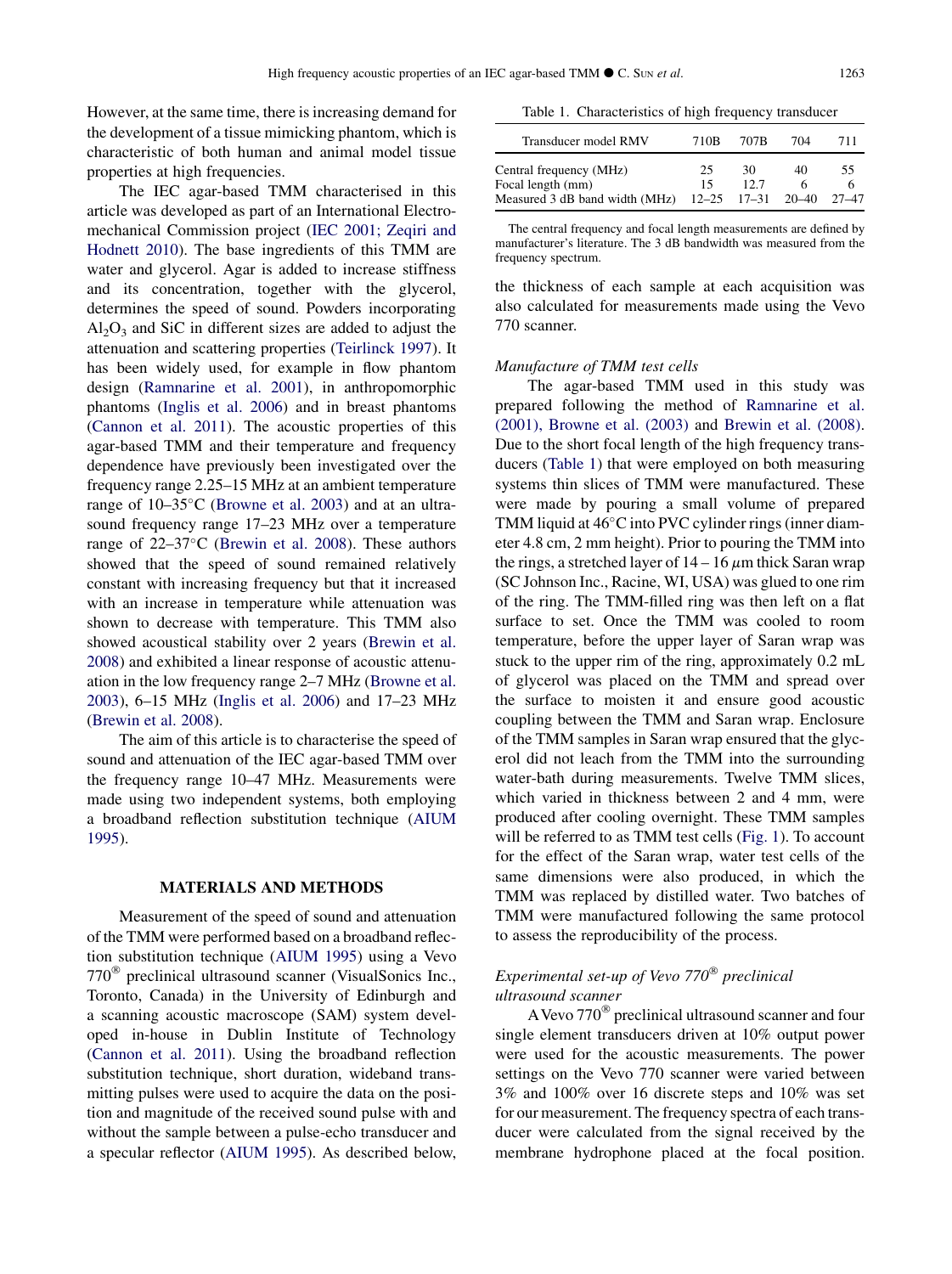<span id="page-4-0"></span>However, at the same time, there is increasing demand for the development of a tissue mimicking phantom, which is characteristic of both human and animal model tissue properties at high frequencies.

The IEC agar-based TMM characterised in this article was developed as part of an International Electromechanical Commission project ([IEC 2001; Zeqiri and](#page-11-0) [Hodnett 2010\)](#page-11-0). The base ingredients of this TMM are water and glycerol. Agar is added to increase stiffness and its concentration, together with the glycerol, determines the speed of sound. Powders incorporating  $Al_2O_3$  and SiC in different sizes are added to adjust the attenuation and scattering properties ([Teirlinck 1997\)](#page-11-0). It has been widely used, for example in flow phantom design [\(Ramnarine et al. 2001\)](#page-11-0), in anthropomorphic phantoms [\(Inglis et al. 2006\)](#page-11-0) and in breast phantoms ([Cannon et al. 2011](#page-11-0)). The acoustic properties of this agar-based TMM and their temperature and frequency dependence have previously been investigated over the frequency range 2.25–15 MHz at an ambient temperature range of 10–35°C ([Browne et al. 2003](#page-11-0)) and at an ultrasound frequency range 17–23 MHz over a temperature range of  $22-37$ °C ([Brewin et al. 2008](#page-10-0)). These authors showed that the speed of sound remained relatively constant with increasing frequency but that it increased with an increase in temperature while attenuation was shown to decrease with temperature. This TMM also showed acoustical stability over 2 years [\(Brewin et al.](#page-10-0) [2008](#page-10-0)) and exhibited a linear response of acoustic attenuation in the low frequency range 2–7 MHz ([Browne et al.](#page-11-0) [2003](#page-11-0)), 6–15 MHz [\(Inglis et al. 2006\)](#page-11-0) and 17–23 MHz ([Brewin et al. 2008](#page-10-0)).

The aim of this article is to characterise the speed of sound and attenuation of the IEC agar-based TMM over the frequency range 10–47 MHz. Measurements were made using two independent systems, both employing a broadband reflection substitution technique [\(AIUM](#page-10-0) [1995](#page-10-0)).

#### MATERIALS AND METHODS

Measurement of the speed of sound and attenuation of the TMM were performed based on a broadband reflection substitution technique [\(AIUM 1995\)](#page-10-0) using a Vevo  $770^{\circ}$  preclinical ultrasound scanner (VisualSonics Inc., Toronto, Canada) in the University of Edinburgh and a scanning acoustic macroscope (SAM) system developed in-house in Dublin Institute of Technology ([Cannon et al. 2011](#page-11-0)). Using the broadband reflection substitution technique, short duration, wideband transmitting pulses were used to acquire the data on the position and magnitude of the received sound pulse with and without the sample between a pulse-echo transducer and a specular reflector ([AIUM 1995\)](#page-10-0). As described below,

Table 1. Characteristics of high frequency transducer

| Transducer model RMV                         | 710B     | 707B                | 704   | 711   |
|----------------------------------------------|----------|---------------------|-------|-------|
| Central frequency (MHz)<br>Focal length (mm) | 25<br>15 | 30<br>12.7          | 40    | 55.   |
| Measured 3 dB band width (MHz)               |          | $12 - 25$ $17 - 31$ | 20–40 | 27–47 |

The central frequency and focal length measurements are defined by manufacturer's literature. The 3 dB bandwidth was measured from the frequency spectrum.

the thickness of each sample at each acquisition was also calculated for measurements made using the Vevo 770 scanner.

#### Manufacture of TMM test cells

The agar-based TMM used in this study was prepared following the method of [Ramnarine et al.](#page-11-0) [\(2001\), Browne et al. \(2003\)](#page-11-0) and [Brewin et al. \(2008\)](#page-10-0). Due to the short focal length of the high frequency transducers (Table 1) that were employed on both measuring systems thin slices of TMM were manufactured. These were made by pouring a small volume of prepared TMM liquid at 46°C into PVC cylinder rings (inner diameter 4.8 cm, 2 mm height). Prior to pouring the TMM into the rings, a stretched layer of  $14 - 16 \mu m$  thick Saran wrap (SC Johnson Inc., Racine, WI, USA) was glued to one rim of the ring. The TMM-filled ring was then left on a flat surface to set. Once the TMM was cooled to room temperature, before the upper layer of Saran wrap was stuck to the upper rim of the ring, approximately 0.2 mL of glycerol was placed on the TMM and spread over the surface to moisten it and ensure good acoustic coupling between the TMM and Saran wrap. Enclosure of the TMM samples in Saran wrap ensured that the glycerol did not leach from the TMM into the surrounding water-bath during measurements. Twelve TMM slices, which varied in thickness between 2 and 4 mm, were produced after cooling overnight. These TMM samples will be referred to as TMM test cells [\(Fig. 1](#page-5-0)). To account for the effect of the Saran wrap, water test cells of the same dimensions were also produced, in which the TMM was replaced by distilled water. Two batches of TMM were manufactured following the same protocol to assess the reproducibility of the process.

#### Experimental set-up of Vevo  $770^{\circ}$  preclinical ultrasound scanner

A Vevo  $770^{\circ}$  preclinical ultrasound scanner and four single element transducers driven at 10% output power were used for the acoustic measurements. The power settings on the Vevo 770 scanner were varied between 3% and 100% over 16 discrete steps and 10% was set for our measurement. The frequency spectra of each transducer were calculated from the signal received by the membrane hydrophone placed at the focal position.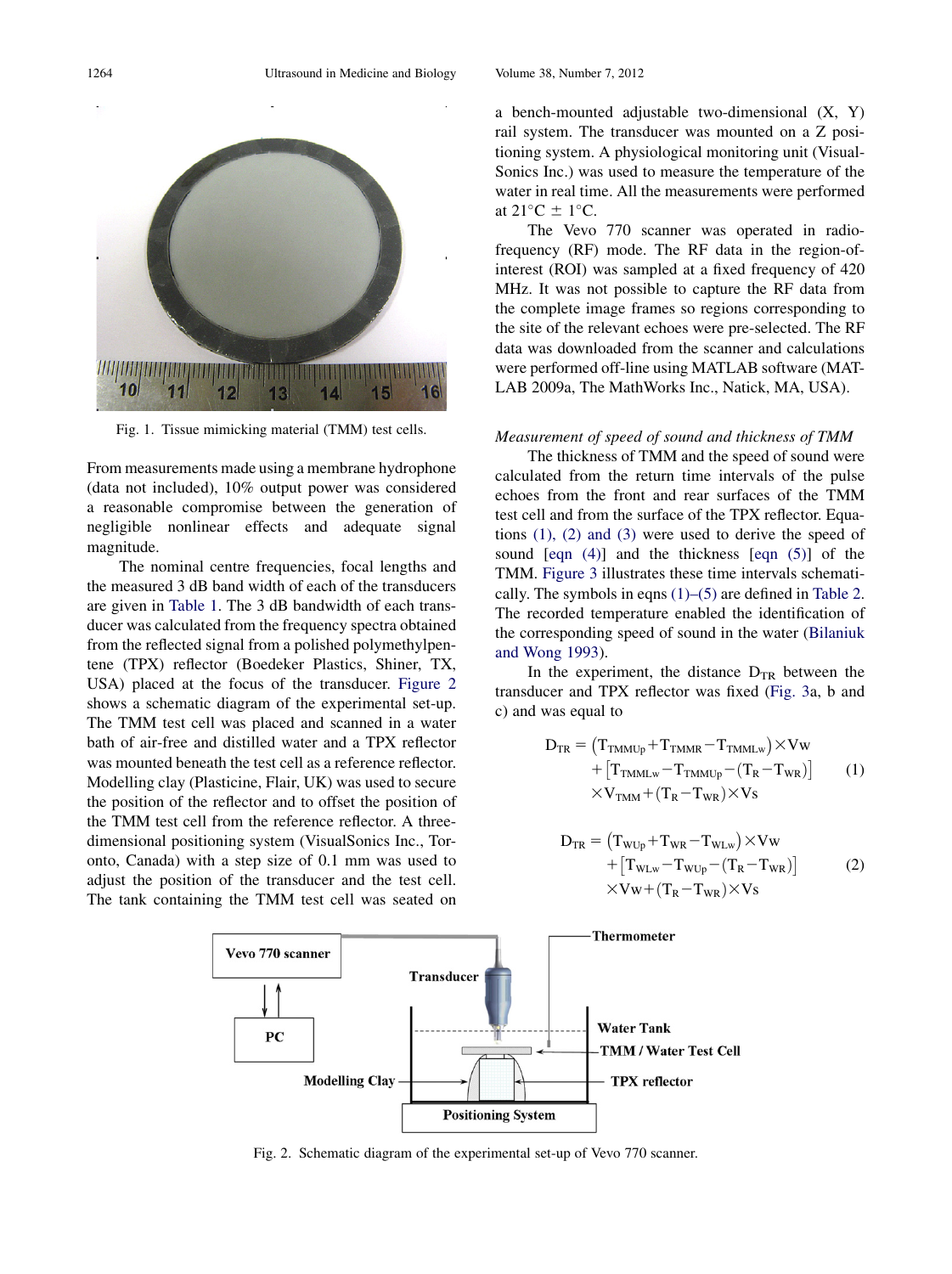<span id="page-5-0"></span>

Fig. 1. Tissue mimicking material (TMM) test cells.

From measurements made using a membrane hydrophone (data not included), 10% output power was considered a reasonable compromise between the generation of negligible nonlinear effects and adequate signal magnitude.

The nominal centre frequencies, focal lengths and the measured 3 dB band width of each of the transducers are given in [Table 1.](#page-4-0) The 3 dB bandwidth of each transducer was calculated from the frequency spectra obtained from the reflected signal from a polished polymethylpentene (TPX) reflector (Boedeker Plastics, Shiner, TX, USA) placed at the focus of the transducer. Figure 2 shows a schematic diagram of the experimental set-up. The TMM test cell was placed and scanned in a water bath of air-free and distilled water and a TPX reflector was mounted beneath the test cell as a reference reflector. Modelling clay (Plasticine, Flair, UK) was used to secure the position of the reflector and to offset the position of the TMM test cell from the reference reflector. A threedimensional positioning system (VisualSonics Inc., Toronto, Canada) with a step size of 0.1 mm was used to adjust the position of the transducer and the test cell. The tank containing the TMM test cell was seated on a bench-mounted adjustable two-dimensional (X, Y) rail system. The transducer was mounted on a Z positioning system. A physiological monitoring unit (Visual-Sonics Inc.) was used to measure the temperature of the water in real time. All the measurements were performed at  $21^{\circ}$ C  $\pm$  1°C.

The Vevo 770 scanner was operated in radiofrequency (RF) mode. The RF data in the region-ofinterest (ROI) was sampled at a fixed frequency of 420 MHz. It was not possible to capture the RF data from the complete image frames so regions corresponding to the site of the relevant echoes were pre-selected. The RF data was downloaded from the scanner and calculations were performed off-line using MATLAB software (MAT-LAB 2009a, The MathWorks Inc., Natick, MA, USA).

#### Measurement of speed of sound and thickness of TMM

The thickness of TMM and the speed of sound were calculated from the return time intervals of the pulse echoes from the front and rear surfaces of the TMM test cell and from the surface of the TPX reflector. Equations (1), (2) and (3) were used to derive the speed of sound [\[eqn \(4\)\]](#page-6-0) and the thickness [[eqn \(5\)\]](#page-6-0) of the TMM. [Figure 3](#page-6-0) illustrates these time intervals schematically. The symbols in eqns  $(1)$ – $(5)$  are defined in [Table 2](#page-6-0). The recorded temperature enabled the identification of the corresponding speed of sound in the water [\(Bilaniuk](#page-10-0) [and Wong 1993](#page-10-0)).

In the experiment, the distance  $D_{TR}$  between the transducer and TPX reflector was fixed [\(Fig. 3a](#page-6-0), b and c) and was equal to

$$
D_{TR} = (T_{TMMUp} + T_{TMMR} - T_{TMMLw}) \times Vw + [T_{TMMLw} - T_{TMMUp} - (T_R - T_{WR})] \qquad (1) \times V_{TMM} + (T_R - T_{WR}) \times Vs
$$

$$
D_{TR} = (T_{WUp} + T_{WR} - T_{WLw}) \times Vw
$$

$$
+ [T_{WLw} - T_{WUp} - (T_R - T_{WR})]
$$

$$
\times Vw + (T_R - T_{WR}) \times Vs
$$
 (2)



Fig. 2. Schematic diagram of the experimental set-up of Vevo 770 scanner.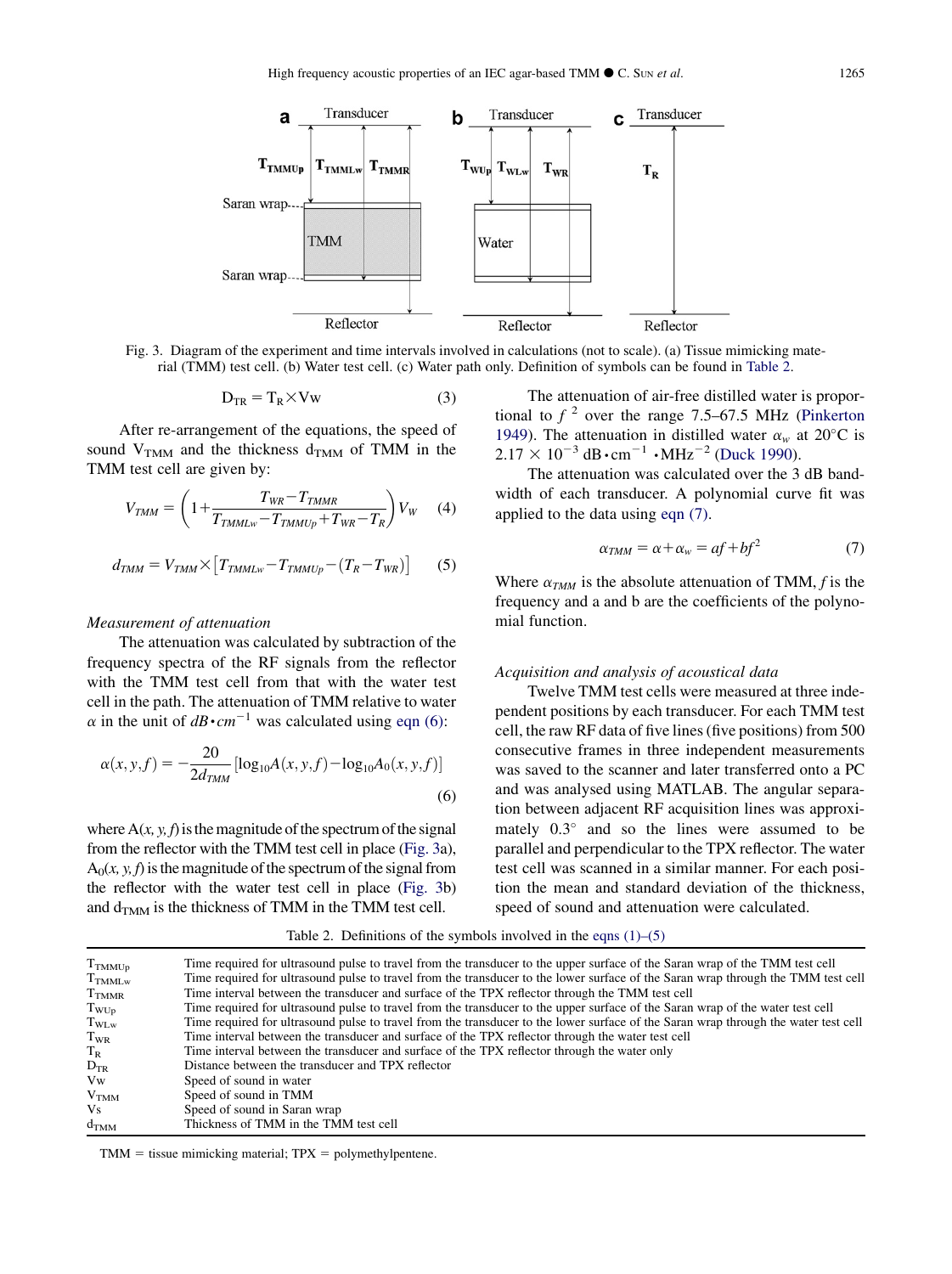<span id="page-6-0"></span>

Fig. 3. Diagram of the experiment and time intervals involved in calculations (not to scale). (a) Tissue mimicking material (TMM) test cell. (b) Water test cell. (c) Water path only. Definition of symbols can be found in Table 2.

$$
D_{TR} = T_R \times Vw \tag{3}
$$

After re-arrangement of the equations, the speed of sound  $V_{TMM}$  and the thickness  $d_{TMM}$  of TMM in the TMM test cell are given by:

$$
V_{TMM} = \left(1 + \frac{T_{WR} - T_{TMMR}}{T_{TMMLw} - T_{TMMUp} + T_{WR} - T_R}\right) V_W \tag{4}
$$

$$
d_{TMM} = V_{TMM} \times [T_{TMMLw} - T_{TMMUp} - (T_R - T_{WR})] \tag{5}
$$

#### Measurement of attenuation

The attenuation was calculated by subtraction of the frequency spectra of the RF signals from the reflector with the TMM test cell from that with the water test cell in the path. The attenuation of TMM relative to water  $\alpha$  in the unit of  $dB \cdot cm^{-1}$  was calculated using eqn (6):

$$
\alpha(x, y, f) = -\frac{20}{2d_{TMM}} \left[ \log_{10} A(x, y, f) - \log_{10} A_0(x, y, f) \right]
$$
\n(6)

where  $A(x, y, f)$  is the magnitude of the spectrum of the signal from the reflector with the TMM test cell in place (Fig. 3a),  $A_0(x, y, f)$  is the magnitude of the spectrum of the signal from the reflector with the water test cell in place (Fig. 3b) and  $d_{TMM}$  is the thickness of TMM in the TMM test cell.

The attenuation of air-free distilled water is proportional to  $f^2$  over the range 7.5–67.5 MHz ([Pinkerton](#page-11-0) [1949](#page-11-0)). The attenuation in distilled water  $\alpha_w$  at 20°C is  $2.17 \times 10^{-3}$  dB⋅cm<sup>-1</sup> ⋅MHz<sup>-2</sup> ([Duck 1990\)](#page-11-0).

The attenuation was calculated over the 3 dB bandwidth of each transducer. A polynomial curve fit was applied to the data using eqn (7).

$$
\alpha_{TMM} = \alpha + \alpha_w = af + bf^2 \tag{7}
$$

Where  $\alpha_{TMM}$  is the absolute attenuation of TMM, f is the frequency and a and b are the coefficients of the polynomial function.

#### Acquisition and analysis of acoustical data

Twelve TMM test cells were measured at three independent positions by each transducer. For each TMM test cell, the raw RF data of five lines (five positions) from 500 consecutive frames in three independent measurements was saved to the scanner and later transferred onto a PC and was analysed using MATLAB. The angular separation between adjacent RF acquisition lines was approximately  $0.3^{\circ}$  and so the lines were assumed to be parallel and perpendicular to the TPX reflector. The water test cell was scanned in a similar manner. For each position the mean and standard deviation of the thickness, speed of sound and attenuation were calculated.

| $T_{TMMUp}$       | Time required for ultrasound pulse to travel from the transducer to the upper surface of the Saran wrap of the TMM test cell        |
|-------------------|-------------------------------------------------------------------------------------------------------------------------------------|
| $T_{TMMLw}$       | Time required for ultrasound pulse to travel from the transducer to the lower surface of the Saran wrap through the TMM test cell   |
| T <sub>TMMR</sub> | Time interval between the transducer and surface of the TPX reflector through the TMM test cell                                     |
| $T_{WUp}$         | Time required for ultrasound pulse to travel from the transducer to the upper surface of the Saran wrap of the water test cell      |
| $T_{\text{WLw}}$  | Time required for ultrasound pulse to travel from the transducer to the lower surface of the Saran wrap through the water test cell |
| $T_{WR}$          | Time interval between the transducer and surface of the TPX reflector through the water test cell                                   |
| $T_{\rm R}$       | Time interval between the transducer and surface of the TPX reflector through the water only                                        |
| $D_{TR}$          | Distance between the transducer and TPX reflector                                                                                   |
| Vw                | Speed of sound in water                                                                                                             |
| V <sub>TMM</sub>  | Speed of sound in TMM                                                                                                               |
| Vs.               | Speed of sound in Saran wrap                                                                                                        |
| $d_{TMM}$         | Thickness of TMM in the TMM test cell                                                                                               |

Table 2. Definitions of the symbols involved in the eqns  $(1)$ – $(5)$ 

 $TMM = tissue mimicking material; TPX = polymethylpentene.$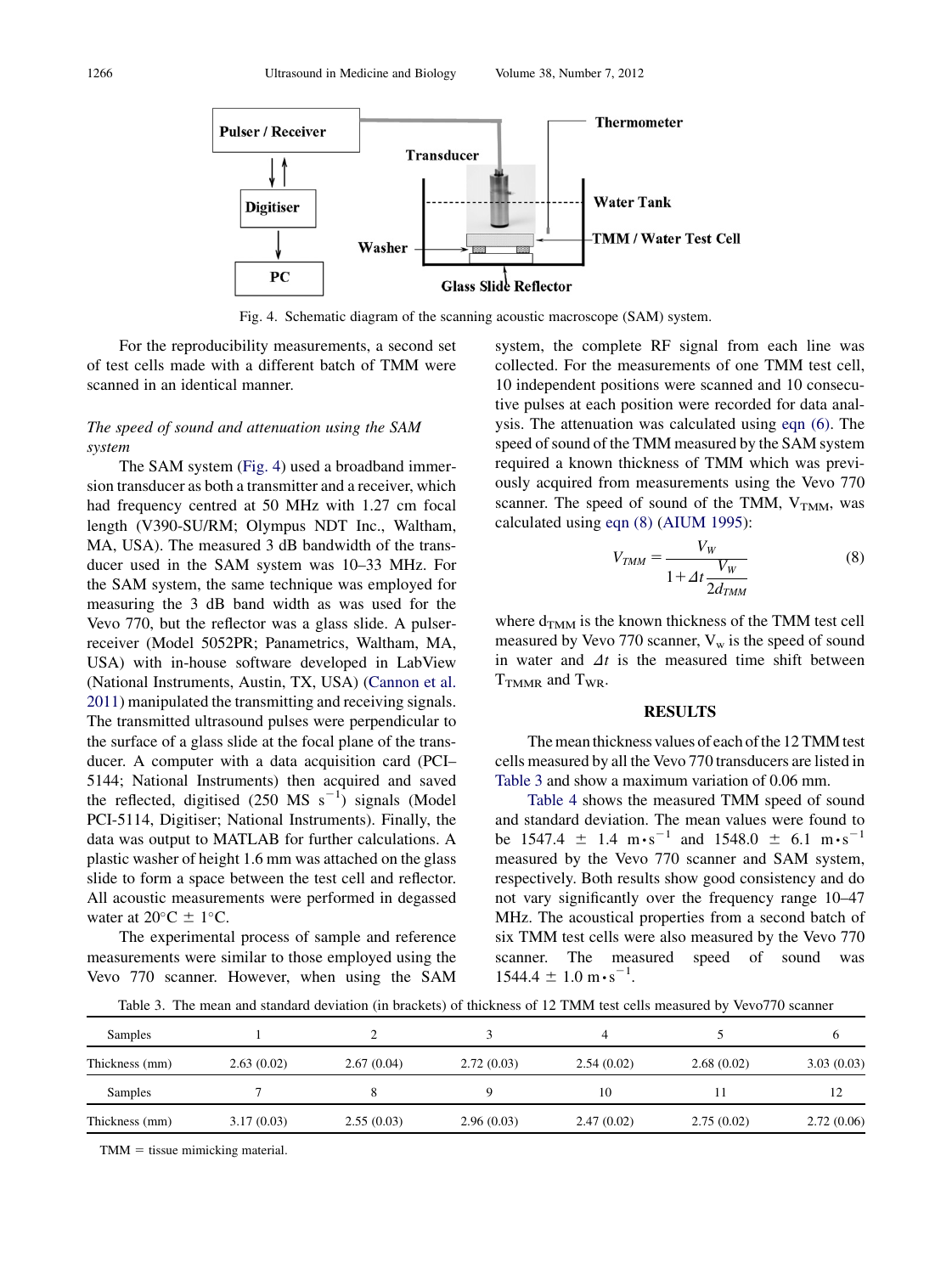<span id="page-7-0"></span>

Fig. 4. Schematic diagram of the scanning acoustic macroscope (SAM) system.

For the reproducibility measurements, a second set of test cells made with a different batch of TMM were scanned in an identical manner.

#### The speed of sound and attenuation using the SAM system

The SAM system (Fig. 4) used a broadband immersion transducer as both a transmitter and a receiver, which had frequency centred at 50 MHz with 1.27 cm focal length (V390-SU/RM; Olympus NDT Inc., Waltham, MA, USA). The measured 3 dB bandwidth of the transducer used in the SAM system was 10–33 MHz. For the SAM system, the same technique was employed for measuring the 3 dB band width as was used for the Vevo 770, but the reflector was a glass slide. A pulserreceiver (Model 5052PR; Panametrics, Waltham, MA, USA) with in-house software developed in LabView (National Instruments, Austin, TX, USA) ([Cannon et al.](#page-11-0) [2011](#page-11-0)) manipulated the transmitting and receiving signals. The transmitted ultrasound pulses were perpendicular to the surface of a glass slide at the focal plane of the transducer. A computer with a data acquisition card (PCI– 5144; National Instruments) then acquired and saved the reflected, digitised  $(250 \text{ MS s}^{-1})$  signals (Model PCI-5114, Digitiser; National Instruments). Finally, the data was output to MATLAB for further calculations. A plastic washer of height 1.6 mm was attached on the glass slide to form a space between the test cell and reflector. All acoustic measurements were performed in degassed water at  $20^{\circ}$ C  $\pm$  1°C.

The experimental process of sample and reference measurements were similar to those employed using the Vevo 770 scanner. However, when using the SAM system, the complete RF signal from each line was collected. For the measurements of one TMM test cell, 10 independent positions were scanned and 10 consecutive pulses at each position were recorded for data analysis. The attenuation was calculated using [eqn \(6\)](#page-6-0). The speed of sound of the TMM measured by the SAM system required a known thickness of TMM which was previously acquired from measurements using the Vevo 770 scanner. The speed of sound of the TMM,  $V_{TMM}$ , was calculated using eqn (8) [\(AIUM 1995\)](#page-10-0):

$$
V_{TMM} = \frac{V_W}{1 + \Delta t \frac{V_W}{2d_{TMM}}} \tag{8}
$$

where  $d_{TMM}$  is the known thickness of the TMM test cell measured by Vevo 770 scanner,  $V_w$  is the speed of sound in water and  $\Delta t$  is the measured time shift between T<sub>TMMR</sub> and T<sub>WR</sub>.

#### RESULTS

The mean thickness values of each of the 12 TMM test cells measured by all the Vevo 770 transducers are listed in Table 3 and show a maximum variation of 0.06 mm.

[Table 4](#page-8-0) shows the measured TMM speed of sound and standard deviation. The mean values were found to be 1547.4  $\pm$  1.4 m⋅s<sup>-1</sup> and 1548.0  $\pm$  6.1 m⋅s<sup>-1</sup> measured by the Vevo 770 scanner and SAM system, respectively. Both results show good consistency and do not vary significantly over the frequency range 10–47 MHz. The acoustical properties from a second batch of six TMM test cells were also measured by the Vevo 770 scanner. The measured speed of sound was  $1544.4 \pm 1.0 \text{ m} \cdot \text{s}^{-1}$ .

Table 3. The mean and standard deviation (in brackets) of thickness of 12 TMM test cells measured by Vevo770 scanner

| Samples        |            |            |            |            |            |            |
|----------------|------------|------------|------------|------------|------------|------------|
| Thickness (mm) | 2.63(0.02) | 2.67(0.04) | 2.72(0.03) | 2.54(0.02) | 2.68(0.02) | 3.03(0.03) |
| Samples        |            |            |            | 10         |            |            |
| Thickness (mm) | 3.17(0.03) | 2.55(0.03) | 2.96(0.03) | 2.47(0.02) | 2.75(0.02) | 2.72(0.06) |

 $TMM = tissue mimicking material.$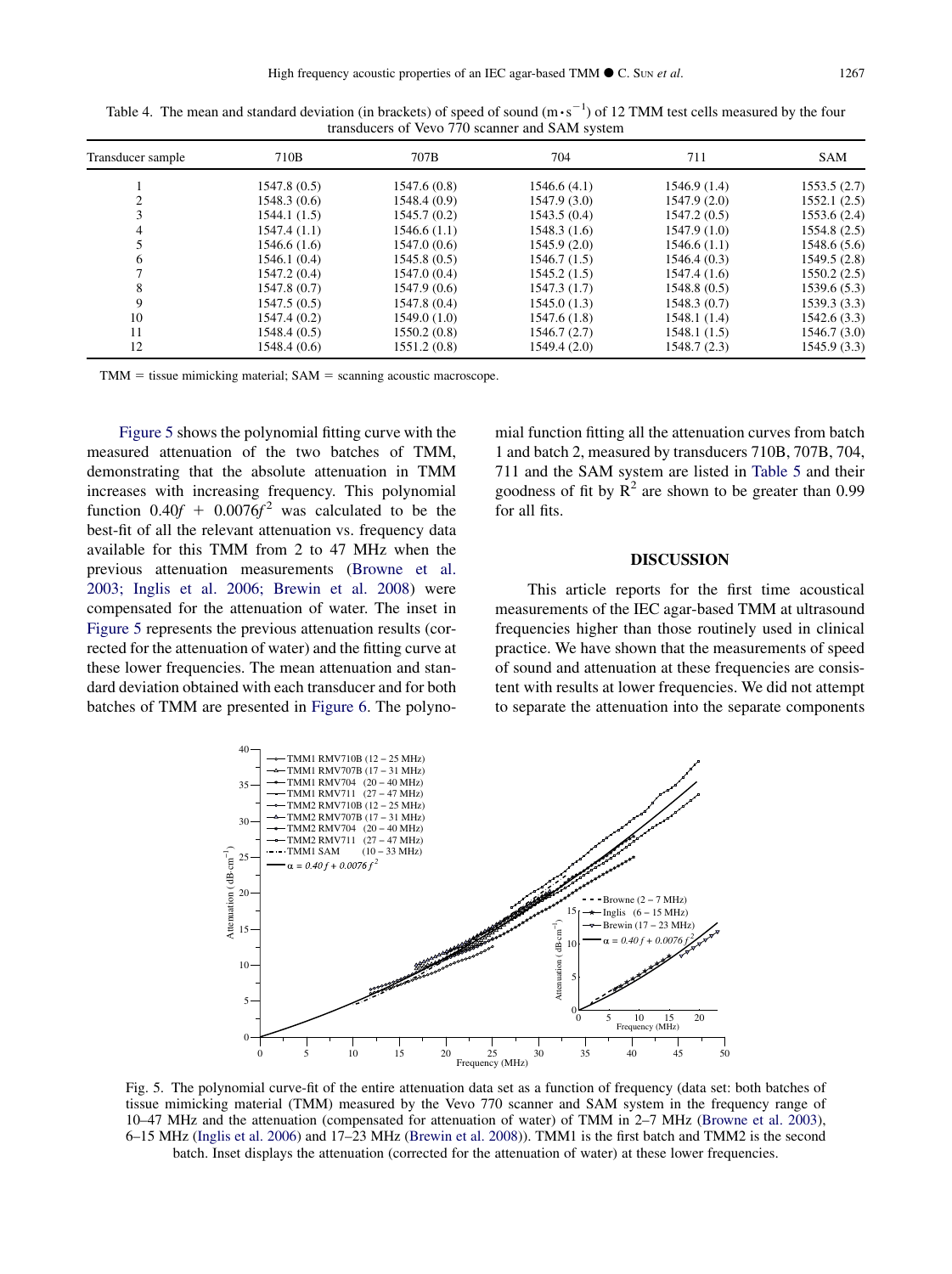| Transducer sample | 710B         | 707B         | 704          | 711          | <b>SAM</b>   |
|-------------------|--------------|--------------|--------------|--------------|--------------|
|                   | 1547.8(0.5)  | 1547.6 (0.8) | 1546.6 (4.1) | 1546.9(1.4)  | 1553.5(2.7)  |
| 2                 | 1548.3(0.6)  | 1548.4 (0.9) | 1547.9 (3.0) | 1547.9(2.0)  | 1552.1(2.5)  |
|                   | 1544.1(1.5)  | 1545.7 (0.2) | 1543.5(0.4)  | 1547.2(0.5)  | 1553.6 (2.4) |
| 4                 | 1547.4(1.1)  | 1546.6(1.1)  | 1548.3(1.6)  | 1547.9(1.0)  | 1554.8 (2.5) |
|                   | 1546.6(1.6)  | 1547.0 (0.6) | 1545.9(2.0)  | 1546.6(1.1)  | 1548.6 (5.6) |
| 6                 | 1546.1 (0.4) | 1545.8 (0.5) | 1546.7 (1.5) | 1546.4(0.3)  | 1549.5 (2.8) |
|                   | 1547.2 (0.4) | 1547.0 (0.4) | 1545.2 (1.5) | 1547.4(1.6)  | 1550.2(2.5)  |
| 8                 | 1547.8 (0.7) | 1547.9 (0.6) | 1547.3 (1.7) | 1548.8(0.5)  | 1539.6(5.3)  |
| 9                 | 1547.5(0.5)  | 1547.8 (0.4) | 1545.0(1.3)  | 1548.3(0.7)  | 1539.3(3.3)  |
| 10                | 1547.4 (0.2) | 1549.0 (1.0) | 1547.6(1.8)  | 1548.1(1.4)  | 1542.6(3.3)  |
| 11                | 1548.4(0.5)  | 1550.2 (0.8) | 1546.7 (2.7) | 1548.1 (1.5) | 1546.7 (3.0) |
| 12                | 1548.4 (0.6) | 1551.2(0.8)  | 1549.4 (2.0) | 1548.7 (2.3) | 1545.9 (3.3) |

<span id="page-8-0"></span>

| Table 4. The mean and standard deviation (in brackets) of speed of sound $(m \cdot s^{-1})$ of 12 TMM test cells measured by the four |
|---------------------------------------------------------------------------------------------------------------------------------------|
| transducers of Vevo 770 scanner and SAM system                                                                                        |

 $TMM = tissue mimicking material; SAM = scanning acoustic macroscope.$ 

Figure 5 shows the polynomial fitting curve with the measured attenuation of the two batches of TMM, demonstrating that the absolute attenuation in TMM increases with increasing frequency. This polynomial function  $0.40f + 0.0076f^2$  was calculated to be the best-fit of all the relevant attenuation vs. frequency data available for this TMM from 2 to 47 MHz when the previous attenuation measurements [\(Browne et al.](#page-11-0) [2003; Inglis et al. 2006; Brewin et al. 2008\)](#page-11-0) were compensated for the attenuation of water. The inset in Figure 5 represents the previous attenuation results (corrected for the attenuation of water) and the fitting curve at these lower frequencies. The mean attenuation and standard deviation obtained with each transducer and for both batches of TMM are presented in [Figure 6.](#page-9-0) The polynomial function fitting all the attenuation curves from batch 1 and batch 2, measured by transducers 710B, 707B, 704, 711 and the SAM system are listed in [Table 5](#page-9-0) and their goodness of fit by  $R^2$  are shown to be greater than 0.99 for all fits.

#### DISCUSSION

This article reports for the first time acoustical measurements of the IEC agar-based TMM at ultrasound frequencies higher than those routinely used in clinical practice. We have shown that the measurements of speed of sound and attenuation at these frequencies are consistent with results at lower frequencies. We did not attempt to separate the attenuation into the separate components



Fig. 5. The polynomial curve-fit of the entire attenuation data set as a function of frequency (data set: both batches of tissue mimicking material (TMM) measured by the Vevo 770 scanner and SAM system in the frequency range of 10–47 MHz and the attenuation (compensated for attenuation of water) of TMM in 2–7 MHz [\(Browne et al. 2003](#page-11-0)), 6–15 MHz [\(Inglis et al. 2006](#page-11-0)) and 17–23 MHz ([Brewin et al. 2008](#page-10-0))). TMM1 is the first batch and TMM2 is the second batch. Inset displays the attenuation (corrected for the attenuation of water) at these lower frequencies.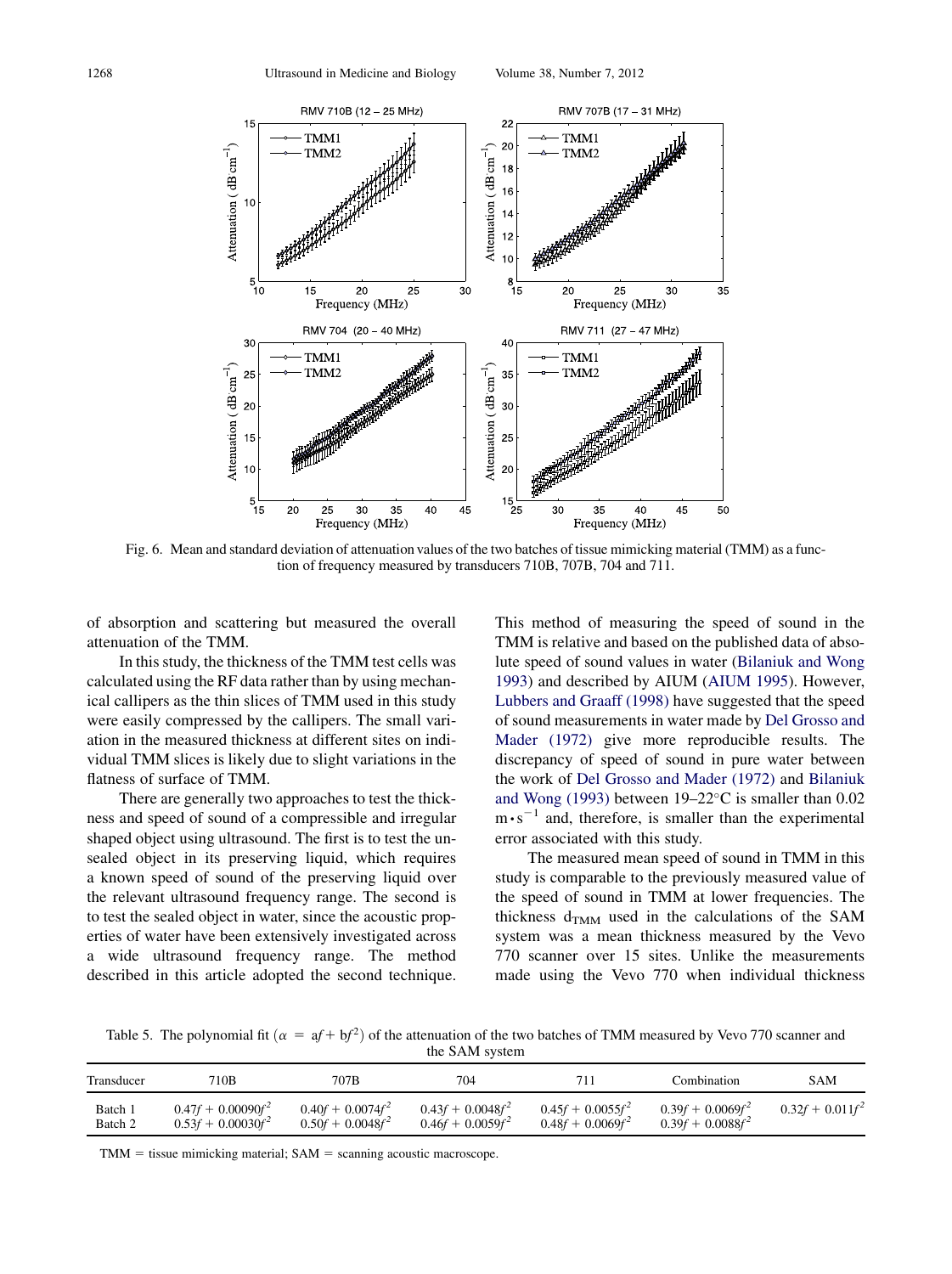<span id="page-9-0"></span>

Fig. 6. Mean and standard deviation of attenuation values of the two batches of tissue mimicking material (TMM) as a function of frequency measured by transducers 710B, 707B, 704 and 711.

of absorption and scattering but measured the overall attenuation of the TMM.

In this study, the thickness of the TMM test cells was calculated using the RF data rather than by using mechanical callipers as the thin slices of TMM used in this study were easily compressed by the callipers. The small variation in the measured thickness at different sites on individual TMM slices is likely due to slight variations in the flatness of surface of TMM.

There are generally two approaches to test the thickness and speed of sound of a compressible and irregular shaped object using ultrasound. The first is to test the unsealed object in its preserving liquid, which requires a known speed of sound of the preserving liquid over the relevant ultrasound frequency range. The second is to test the sealed object in water, since the acoustic properties of water have been extensively investigated across a wide ultrasound frequency range. The method described in this article adopted the second technique. This method of measuring the speed of sound in the TMM is relative and based on the published data of absolute speed of sound values in water [\(Bilaniuk and Wong](#page-10-0) [1993](#page-10-0)) and described by AIUM [\(AIUM 1995\)](#page-10-0). However, [Lubbers and Graaff \(1998\)](#page-11-0) have suggested that the speed of sound measurements in water made by [Del Grosso and](#page-11-0) [Mader \(1972\)](#page-11-0) give more reproducible results. The discrepancy of speed of sound in pure water between the work of [Del Grosso and Mader \(1972\)](#page-11-0) and [Bilaniuk](#page-10-0) [and Wong \(1993\)](#page-10-0) between  $19-22^{\circ}$ C is smaller than 0.02 m⋅s<sup>-1</sup> and, therefore, is smaller than the experimental error associated with this study.

The measured mean speed of sound in TMM in this study is comparable to the previously measured value of the speed of sound in TMM at lower frequencies. The thickness  $d_{TMM}$  used in the calculations of the SAM system was a mean thickness measured by the Vevo 770 scanner over 15 sites. Unlike the measurements made using the Vevo 770 when individual thickness

Table 5. The polynomial fit  $\left(\alpha = af + bf^2\right)$  of the attenuation of the two batches of TMM measured by Vevo 770 scanner and the SAM system

| Transducer | 710B                 | 707B                | 704                 | 711                 | Combination         | SAM                |
|------------|----------------------|---------------------|---------------------|---------------------|---------------------|--------------------|
| Batch 1    | $0.47f + 0.00090f^2$ | $0.40f + 0.0074f^2$ | $0.43f + 0.0048f^2$ | $0.45f + 0.0055f^2$ | $0.39f + 0.0069f^2$ | $0.32f + 0.011f^2$ |
| Batch 2    | $0.53f + 0.00030f^2$ | $0.50f + 0.0048f^2$ | $0.46f + 0.0059f^2$ | $0.48f + 0.0069f^2$ | $0.39f + 0.0088f^2$ |                    |

 $TMM = tissue mimicking material; SAM = scanning acoustic macroscope.$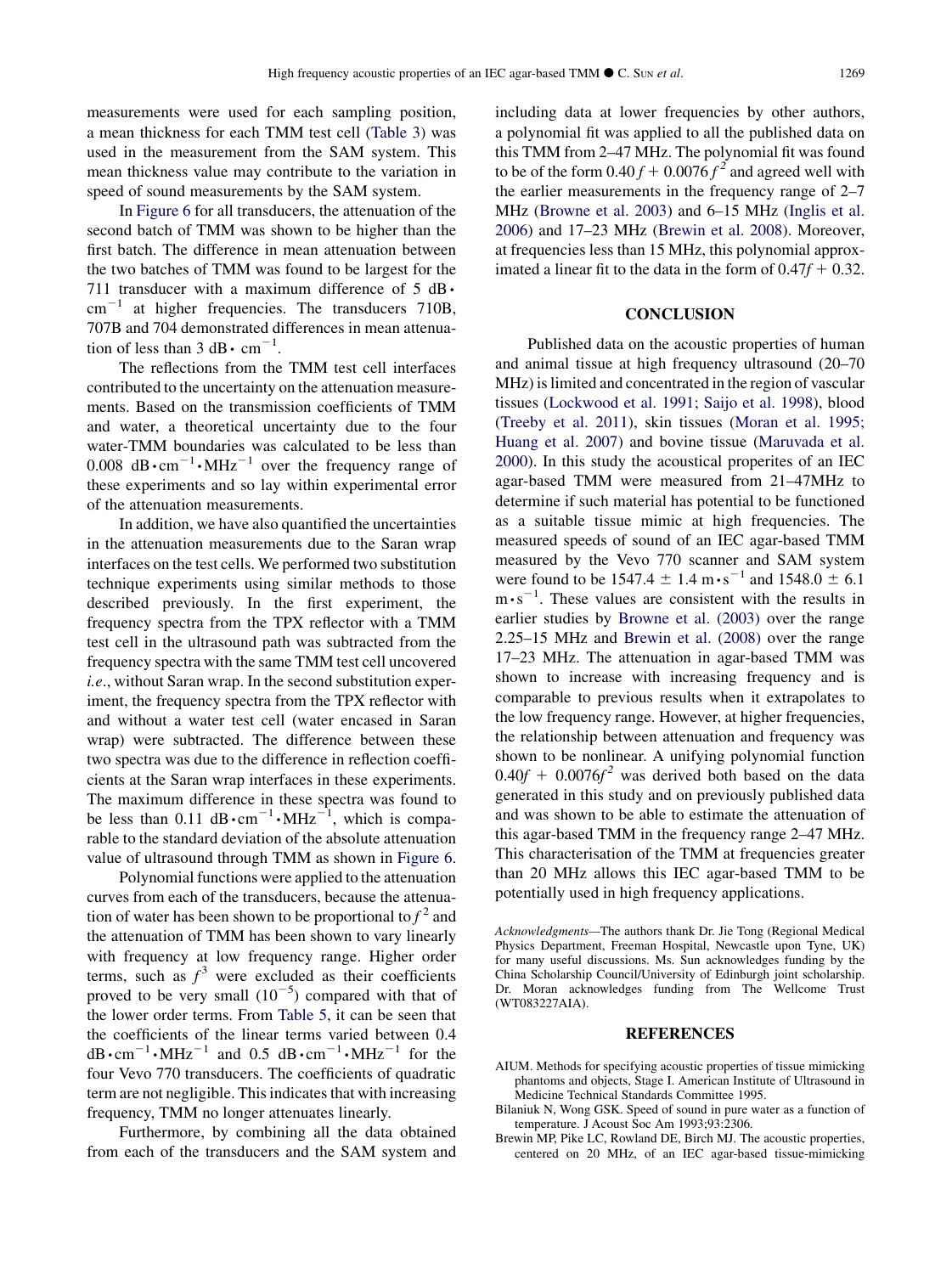<span id="page-10-0"></span>measurements were used for each sampling position, a mean thickness for each TMM test cell [\(Table 3\)](#page-7-0) was used in the measurement from the SAM system. This mean thickness value may contribute to the variation in speed of sound measurements by the SAM system.

In [Figure 6](#page-9-0) for all transducers, the attenuation of the second batch of TMM was shown to be higher than the first batch. The difference in mean attenuation between the two batches of TMM was found to be largest for the 711 transducer with a maximum difference of 5 dB∙  $cm^{-1}$  at higher frequencies. The transducers 710B, 707B and 704 demonstrated differences in mean attenuation of less than  $3 \text{ dB} \cdot \text{cm}^{-1}$ .

The reflections from the TMM test cell interfaces contributed to the uncertainty on the attenuation measurements. Based on the transmission coefficients of TMM and water, a theoretical uncertainty due to the four water-TMM boundaries was calculated to be less than 0.008 dB⋅cm<sup>-1</sup>⋅MHz<sup>-1</sup> over the frequency range of these experiments and so lay within experimental error of the attenuation measurements.

In addition, we have also quantified the uncertainties in the attenuation measurements due to the Saran wrap interfaces on the test cells. We performed two substitution technique experiments using similar methods to those described previously. In the first experiment, the frequency spectra from the TPX reflector with a TMM test cell in the ultrasound path was subtracted from the frequency spectra with the same TMM test cell uncovered i.e., without Saran wrap. In the second substitution experiment, the frequency spectra from the TPX reflector with and without a water test cell (water encased in Saran wrap) were subtracted. The difference between these two spectra was due to the difference in reflection coefficients at the Saran wrap interfaces in these experiments. The maximum difference in these spectra was found to be less than 0.11 dB ⋅ cm<sup>-1</sup>⋅MHz<sup>-1</sup>, which is comparable to the standard deviation of the absolute attenuation value of ultrasound through TMM as shown in [Figure 6](#page-9-0).

Polynomial functions were applied to the attenuation curves from each of the transducers, because the attenuation of water has been shown to be proportional to  $f^2$  and the attenuation of TMM has been shown to vary linearly with frequency at low frequency range. Higher order terms, such as  $f^3$  were excluded as their coefficients proved to be very small  $(10^{-5})$  compared with that of the lower order terms. From [Table 5](#page-9-0), it can be seen that the coefficients of the linear terms varied between 0.4 dB⋅cm<sup>-1</sup>⋅MHz<sup>-1</sup> and 0.5 dB⋅cm<sup>-1</sup>⋅MHz<sup>-1</sup> for the four Vevo 770 transducers. The coefficients of quadratic term are not negligible. This indicates that with increasing frequency, TMM no longer attenuates linearly.

Furthermore, by combining all the data obtained from each of the transducers and the SAM system and including data at lower frequencies by other authors, a polynomial fit was applied to all the published data on this TMM from 2–47 MHz. The polynomial fit was found to be of the form  $0.40 f + 0.0076 f^2$  and agreed well with the earlier measurements in the frequency range of 2–7 MHz ([Browne et al. 2003](#page-11-0)) and 6–15 MHz [\(Inglis et al.](#page-11-0) [2006](#page-11-0)) and 17–23 MHz (Brewin et al. 2008). Moreover, at frequencies less than 15 MHz, this polynomial approximated a linear fit to the data in the form of  $0.47f + 0.32$ .

#### **CONCLUSION**

Published data on the acoustic properties of human and animal tissue at high frequency ultrasound (20–70 MHz) is limited and concentrated in the region of vascular tissues ([Lockwood et al. 1991; Saijo et al. 1998\)](#page-11-0), blood ([Treeby et al. 2011](#page-11-0)), skin tissues ([Moran et al. 1995;](#page-11-0) [Huang et al. 2007\)](#page-11-0) and bovine tissue [\(Maruvada et al.](#page-11-0) [2000](#page-11-0)). In this study the acoustical properites of an IEC agar-based TMM were measured from 21–47MHz to determine if such material has potential to be functioned as a suitable tissue mimic at high frequencies. The measured speeds of sound of an IEC agar-based TMM measured by the Vevo 770 scanner and SAM system were found to be 1547.4  $\pm$  1.4 m⋅s<sup>-1</sup> and 1548.0  $\pm$  6.1 m⋅s<sup>-1</sup>. These values are consistent with the results in earlier studies by [Browne et al. \(2003\)](#page-11-0) over the range 2.25–15 MHz and Brewin et al. (2008) over the range 17–23 MHz. The attenuation in agar-based TMM was shown to increase with increasing frequency and is comparable to previous results when it extrapolates to the low frequency range. However, at higher frequencies, the relationship between attenuation and frequency was shown to be nonlinear. A unifying polynomial function  $0.40f + 0.0076f^2$  was derived both based on the data generated in this study and on previously published data and was shown to be able to estimate the attenuation of this agar-based TMM in the frequency range 2–47 MHz. This characterisation of the TMM at frequencies greater than 20 MHz allows this IEC agar-based TMM to be potentially used in high frequency applications.

Acknowledgments—The authors thank Dr. Jie Tong (Regional Medical Physics Department, Freeman Hospital, Newcastle upon Tyne, UK) for many useful discussions. Ms. Sun acknowledges funding by the China Scholarship Council/University of Edinburgh joint scholarship. Dr. Moran acknowledges funding from The Wellcome Trust (WT083227AIA).

#### REFERENCES

- AIUM. Methods for specifying acoustic properties of tissue mimicking phantoms and objects, Stage I. American Institute of Ultrasound in Medicine Technical Standards Committee 1995.
- Bilaniuk N, Wong GSK. Speed of sound in pure water as a function of temperature. J Acoust Soc Am 1993;93:2306.
- Brewin MP, Pike LC, Rowland DE, Birch MJ. The acoustic properties, centered on 20 MHz, of an IEC agar-based tissue-mimicking